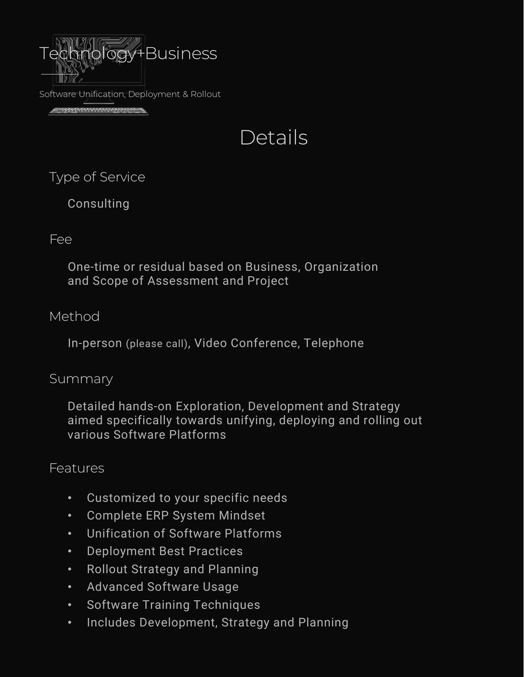

Software Unification, Deployment & Rollout

**SESSION NUMBER OF STATISTICS** 

# Details

Type of Service

Consulting

## Fee

One-time or residual based on Business, Organization and Scope of Assessment and Project

## Method

In-person (please call), Video Conference, Telephone

## Summary

Detailed hands-on Exploration, Development and Strategy aimed specifically towards unifying, deploying and rolling out various Software Platforms

## Features

- Customized to your specific needs
- Complete ERP System Mindset
- Unification of Software Platforms
- Deployment Best Practices
- Rollout Strategy and Planning
- Advanced Software Usage
- Software Training Techniques
- Includes Development, Strategy and Planning